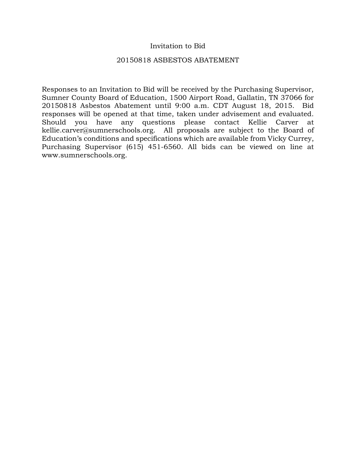## Invitation to Bid

#### 20150818 ASBESTOS ABATEMENT

Responses to an Invitation to Bid will be received by the Purchasing Supervisor, Sumner County Board of Education, 1500 Airport Road, Gallatin, TN 37066 for 20150818 Asbestos Abatement until 9:00 a.m. CDT August 18, 2015. Bid responses will be opened at that time, taken under advisement and evaluated. Should you have any questions please contact Kellie Carver at kellie.carver@sumnerschools.org. All proposals are subject to the Board of Education's conditions and specifications which are available from Vicky Currey, Purchasing Supervisor (615) 451-6560. All bids can be viewed on line at www.sumnerschools.org.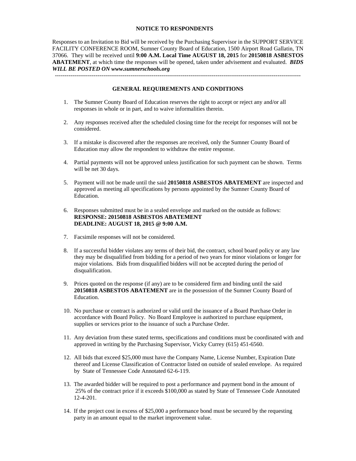#### **NOTICE TO RESPONDENTS**

Responses to an Invitation to Bid will be received by the Purchasing Supervisor in the SUPPORT SERVICE FACILITY CONFERENCE ROOM, Sumner County Board of Education, 1500 Airport Road Gallatin, TN 37066. They will be received until **9:00 A.M. Local Time AUGUST 18, 2015** for **20150818 ASBESTOS ABATEMENT**, at which time the responses will be opened, taken under advisement and evaluated. *BIDS WILL BE POSTED ON www.sumnerschools.org* 

**GENERAL REQUIREMENTS AND CONDITIONS** 

-------------------------------------------------------------------------------------------------------------------------------

- 1. The Sumner County Board of Education reserves the right to accept or reject any and/or all responses in whole or in part, and to waive informalities therein.
- 2. Any responses received after the scheduled closing time for the receipt for responses will not be considered.
- 3. If a mistake is discovered after the responses are received, only the Sumner County Board of Education may allow the respondent to withdraw the entire response.
- 4. Partial payments will not be approved unless justification for such payment can be shown. Terms will be net 30 days.
- 5. Payment will not be made until the said **20150818 ASBESTOS ABATEMENT** are inspected and approved as meeting all specifications by persons appointed by the Sumner County Board of Education.
- 6. Responses submitted must be in a sealed envelope and marked on the outside as follows: **RESPONSE: 20150818 ASBESTOS ABATEMENT DEADLINE: AUGUST 18, 2015 @ 9:00 A.M.**
- 7. Facsimile responses will not be considered.
- 8. If a successful bidder violates any terms of their bid, the contract, school board policy or any law they may be disqualified from bidding for a period of two years for minor violations or longer for major violations. Bids from disqualified bidders will not be accepted during the period of disqualification.
- 9. Prices quoted on the response (if any) are to be considered firm and binding until the said **20150818 ASBESTOS ABATEMENT** are in the possession of the Sumner County Board of Education.
- 10. No purchase or contract is authorized or valid until the issuance of a Board Purchase Order in accordance with Board Policy. No Board Employee is authorized to purchase equipment, supplies or services prior to the issuance of such a Purchase Order.
- 11. Any deviation from these stated terms, specifications and conditions must be coordinated with and approved in writing by the Purchasing Supervisor, Vicky Currey (615) 451-6560.
- 12. All bids that exceed \$25,000 must have the Company Name, License Number, Expiration Date thereof and License Classification of Contractor listed on outside of sealed envelope. As required by State of Tennessee Code Annotated 62-6-119.
- 13. The awarded bidder will be required to post a performance and payment bond in the amount of 25% of the contract price if it exceeds \$100,000 as stated by State of Tennessee Code Annotated 12-4-201.
- 14. If the project cost in excess of \$25,000 a performance bond must be secured by the requesting party in an amount equal to the market improvement value.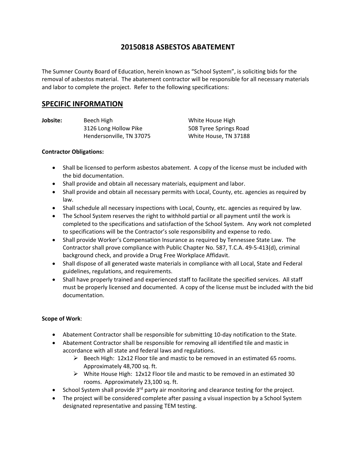# **20150818 ASBESTOS ABATEMENT**

The Sumner County Board of Education, herein known as "School System", is soliciting bids for the removal of asbestos material. The abatement contractor will be responsible for all necessary materials and labor to complete the project. Refer to the following specifications:

# **SPECIFIC INFORMATION**

**Jobsite:** Beech High White House High 3126 Long Hollow Pike 508 Tyree Springs Road Hendersonville, TN 37075 White House, TN 37188

#### **Contractor Obligations:**

- Shall be licensed to perform asbestos abatement. A copy of the license must be included with the bid documentation.
- Shall provide and obtain all necessary materials, equipment and labor.
- Shall provide and obtain all necessary permits with Local, County, etc. agencies as required by law.
- Shall schedule all necessary inspections with Local, County, etc. agencies as required by law.
- The School System reserves the right to withhold partial or all payment until the work is completed to the specifications and satisfaction of the School System. Any work not completed to specifications will be the Contractor's sole responsibility and expense to redo.
- Shall provide Worker's Compensation Insurance as required by Tennessee State Law. The Contractor shall prove compliance with Public Chapter No. 587, T.C.A. 49‐5‐413(d), criminal background check, and provide a Drug Free Workplace Affidavit.
- Shall dispose of all generated waste materials in compliance with all Local, State and Federal guidelines, regulations, and requirements.
- Shall have properly trained and experienced staff to facilitate the specified services. All staff must be properly licensed and documented. A copy of the license must be included with the bid documentation.

### **Scope of Work**:

- Abatement Contractor shall be responsible for submitting 10‐day notification to the State.
- Abatement Contractor shall be responsible for removing all identified tile and mastic in accordance with all state and federal laws and regulations.
	- $\triangleright$  Beech High: 12x12 Floor tile and mastic to be removed in an estimated 65 rooms. Approximately 48,700 sq. ft.
	- White House High: 12x12 Floor tile and mastic to be removed in an estimated 30 rooms. Approximately 23,100 sq. ft.
- School System shall provide 3<sup>rd</sup> party air monitoring and clearance testing for the project.
- The project will be considered complete after passing a visual inspection by a School System designated representative and passing TEM testing.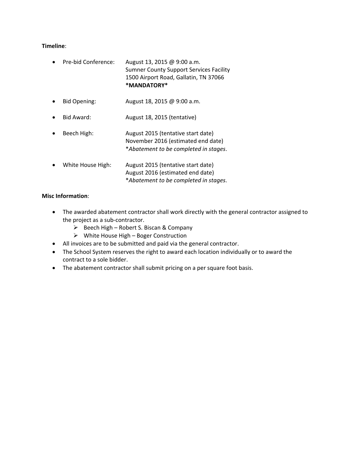#### **Timeline**:

- Pre-bid Conference: August 13, 2015 @ 9:00 a.m. Sumner County Support Services Facility 1500 Airport Road, Gallatin, TN 37066 **\*MANDATORY\***
- Bid Opening: August 18, 2015 @ 9:00 a.m.
- Bid Award: August 18, 2015 (tentative)
- Beech High: Magust 2015 (tentative start date) November 2016 (estimated end date) \**Abatement to be completed in stages*.
- White House High: August 2015 (tentative start date) August 2016 (estimated end date) \**Abatement to be completed in stages*.

#### **Misc Information**:

- The awarded abatement contractor shall work directly with the general contractor assigned to the project as a sub‐contractor.
	- $\triangleright$  Beech High Robert S. Biscan & Company
	- $\triangleright$  White House High Boger Construction
- All invoices are to be submitted and paid via the general contractor.
- The School System reserves the right to award each location individually or to award the contract to a sole bidder.
- The abatement contractor shall submit pricing on a per square foot basis.